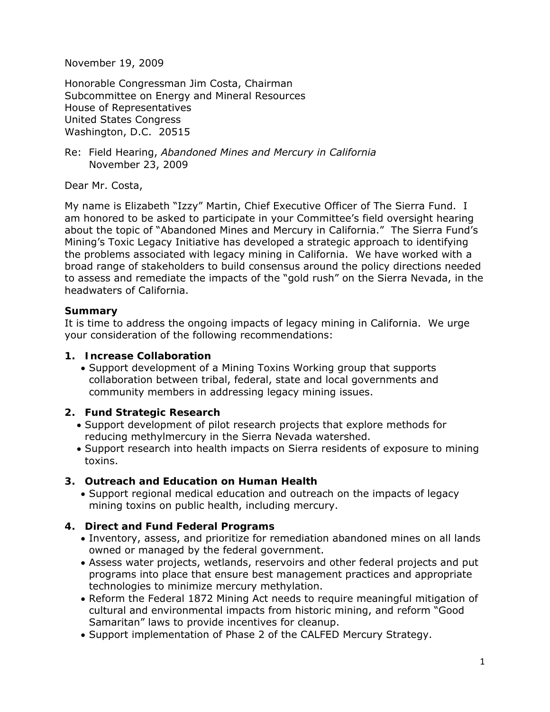November 19, 2009

Honorable Congressman Jim Costa, Chairman Subcommittee on Energy and Mineral Resources House of Representatives United States Congress Washington, D.C. 20515

Re: Field Hearing, *Abandoned Mines and Mercury in California* November 23, 2009

Dear Mr. Costa,

My name is Elizabeth "Izzy" Martin, Chief Executive Officer of The Sierra Fund. I am honored to be asked to participate in your Committee's field oversight hearing about the topic of "Abandoned Mines and Mercury in California." The Sierra Fund's Mining's Toxic Legacy Initiative has developed a strategic approach to identifying the problems associated with legacy mining in California. We have worked with a broad range of stakeholders to build consensus around the policy directions needed to assess and remediate the impacts of the "gold rush" on the Sierra Nevada, in the headwaters of California.

### **Summary**

It is time to address the ongoing impacts of legacy mining in California. We urge your consideration of the following recommendations:

### **1. Increase Collaboration**

• Support development of a Mining Toxins Working group that supports collaboration between tribal, federal, state and local governments and community members in addressing legacy mining issues.

## **2. Fund Strategic Research**

- Support development of pilot research projects that explore methods for reducing methylmercury in the Sierra Nevada watershed.
- Support research into health impacts on Sierra residents of exposure to mining toxins.

## **3. Outreach and Education on Human Health**

• Support regional medical education and outreach on the impacts of legacy mining toxins on public health, including mercury.

## **4. Direct and Fund Federal Programs**

- Inventory, assess, and prioritize for remediation abandoned mines on all lands owned or managed by the federal government.
- Assess water projects, wetlands, reservoirs and other federal projects and put programs into place that ensure best management practices and appropriate technologies to minimize mercury methylation.
- Reform the Federal 1872 Mining Act needs to require meaningful mitigation of cultural and environmental impacts from historic mining, and reform "Good Samaritan" laws to provide incentives for cleanup.
- Support implementation of Phase 2 of the CALFED Mercury Strategy.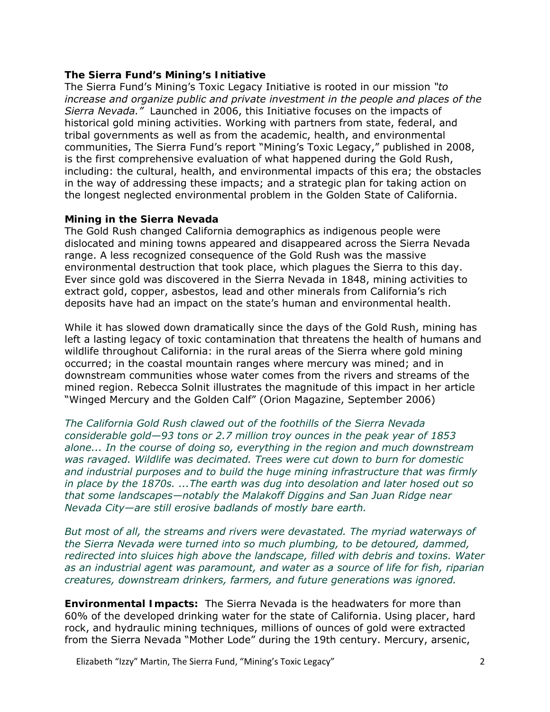#### **The Sierra Fund's Mining's Initiative**

The Sierra Fund's Mining's Toxic Legacy Initiative is rooted in our mission *"to increase and organize public and private investment in the people and places of the Sierra Nevada."* Launched in 2006, this Initiative focuses on the impacts of historical gold mining activities. Working with partners from state, federal, and tribal governments as well as from the academic, health, and environmental communities, The Sierra Fund's report "Mining's Toxic Legacy," published in 2008, is the first comprehensive evaluation of what happened during the Gold Rush, including: the cultural, health, and environmental impacts of this era; the obstacles in the way of addressing these impacts; and a strategic plan for taking action on the longest neglected environmental problem in the Golden State of California.

### **Mining in the Sierra Nevada**

The Gold Rush changed California demographics as indigenous people were dislocated and mining towns appeared and disappeared across the Sierra Nevada range. A less recognized consequence of the Gold Rush was the massive environmental destruction that took place, which plagues the Sierra to this day. Ever since gold was discovered in the Sierra Nevada in 1848, mining activities to extract gold, copper, asbestos, lead and other minerals from California's rich deposits have had an impact on the state's human and environmental health.

While it has slowed down dramatically since the days of the Gold Rush, mining has left a lasting legacy of toxic contamination that threatens the health of humans and wildlife throughout California: in the rural areas of the Sierra where gold mining occurred; in the coastal mountain ranges where mercury was mined; and in downstream communities whose water comes from the rivers and streams of the mined region. Rebecca Solnit illustrates the magnitude of this impact in her article "Winged Mercury and the Golden Calf" (Orion Magazine, September 2006)

*The California Gold Rush clawed out of the foothills of the Sierra Nevada considerable gold—93 tons or 2.7 million troy ounces in the peak year of 1853 alone... In the course of doing so, everything in the region and much downstream was ravaged. Wildlife was decimated. Trees were cut down to burn for domestic and industrial purposes and to build the huge mining infrastructure that was firmly in place by the 1870s. ...The earth was dug into desolation and later hosed out so that some landscapes—notably the Malakoff Diggins and San Juan Ridge near Nevada City—are still erosive badlands of mostly bare earth.* 

*But most of all, the streams and rivers were devastated. The myriad waterways of the Sierra Nevada were turned into so much plumbing, to be detoured, dammed, redirected into sluices high above the landscape, filled with debris and toxins. Water as an industrial agent was paramount, and water as a source of life for fish, riparian creatures, downstream drinkers, farmers, and future generations was ignored.*

**Environmental Impacts:** The Sierra Nevada is the headwaters for more than 60% of the developed drinking water for the state of California. Using placer, hard rock, and hydraulic mining techniques, millions of ounces of gold were extracted from the Sierra Nevada "Mother Lode" during the 19th century. Mercury, arsenic,

Elizabeth "Izzy" Martin, The Sierra Fund, "Mining's Toxic Legacy" **1998** 2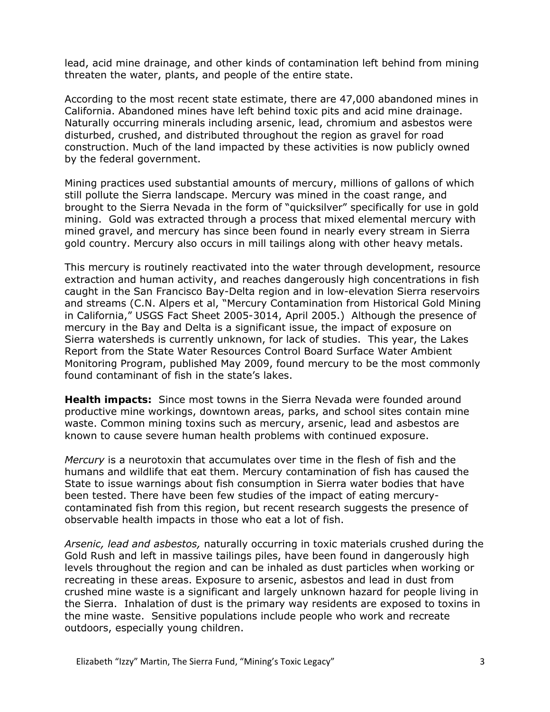lead, acid mine drainage, and other kinds of contamination left behind from mining threaten the water, plants, and people of the entire state.

According to the most recent state estimate, there are 47,000 abandoned mines in California. Abandoned mines have left behind toxic pits and acid mine drainage. Naturally occurring minerals including arsenic, lead, chromium and asbestos were disturbed, crushed, and distributed throughout the region as gravel for road construction. Much of the land impacted by these activities is now publicly owned by the federal government.

Mining practices used substantial amounts of mercury, millions of gallons of which still pollute the Sierra landscape. Mercury was mined in the coast range, and brought to the Sierra Nevada in the form of "quicksilver" specifically for use in gold mining. Gold was extracted through a process that mixed elemental mercury with mined gravel, and mercury has since been found in nearly every stream in Sierra gold country. Mercury also occurs in mill tailings along with other heavy metals.

This mercury is routinely reactivated into the water through development, resource extraction and human activity, and reaches dangerously high concentrations in fish caught in the San Francisco Bay-Delta region and in low-elevation Sierra reservoirs and streams (C.N. Alpers et al, "Mercury Contamination from Historical Gold Mining in California," USGS Fact Sheet 2005-3014, April 2005.) Although the presence of mercury in the Bay and Delta is a significant issue, the impact of exposure on Sierra watersheds is currently unknown, for lack of studies. This year, the Lakes Report from the State Water Resources Control Board Surface Water Ambient Monitoring Program, published May 2009, found mercury to be the most commonly found contaminant of fish in the state's lakes.

**Health impacts:** Since most towns in the Sierra Nevada were founded around productive mine workings, downtown areas, parks, and school sites contain mine waste. Common mining toxins such as mercury, arsenic, lead and asbestos are known to cause severe human health problems with continued exposure.

*Mercury* is a neurotoxin that accumulates over time in the flesh of fish and the humans and wildlife that eat them. Mercury contamination of fish has caused the State to issue warnings about fish consumption in Sierra water bodies that have been tested. There have been few studies of the impact of eating mercurycontaminated fish from this region, but recent research suggests the presence of observable health impacts in those who eat a lot of fish.

*Arsenic, lead and asbestos,* naturally occurring in toxic materials crushed during the Gold Rush and left in massive tailings piles, have been found in dangerously high levels throughout the region and can be inhaled as dust particles when working or recreating in these areas. Exposure to arsenic, asbestos and lead in dust from crushed mine waste is a significant and largely unknown hazard for people living in the Sierra. Inhalation of dust is the primary way residents are exposed to toxins in the mine waste. Sensitive populations include people who work and recreate outdoors, especially young children.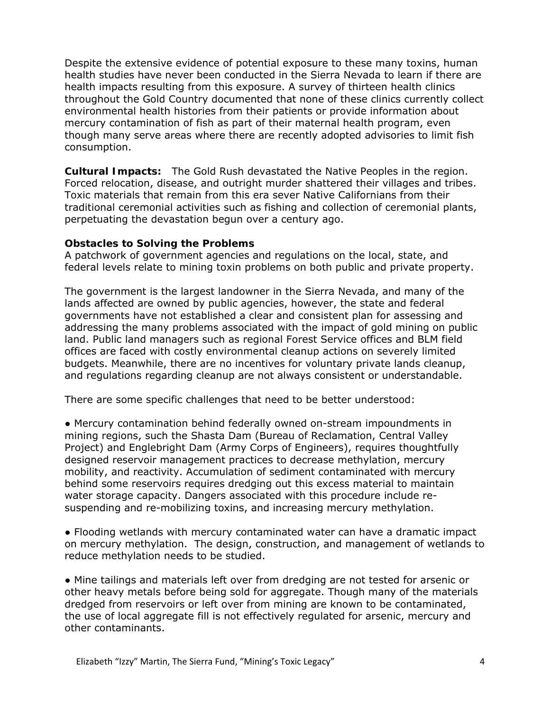Despite the extensive evidence of potential exposure to these many toxins, human health studies have never been conducted in the Sierra Nevada to learn if there are health impacts resulting from this exposure. A survey of thirteen health clinics throughout the Gold Country documented that none of these clinics currently collect environmental health histories from their patients or provide information about mercury contamination of fish as part of their maternal health program, even though many serve areas where there are recently adopted advisories to limit fish consumption.

**Cultural Impacts:** The Gold Rush devastated the Native Peoples in the region. Forced relocation, disease, and outright murder shattered their villages and tribes. Toxic materials that remain from this era sever Native Californians from their traditional ceremonial activities such as fishing and collection of ceremonial plants, perpetuating the devastation begun over a century ago.

#### **Obstacles to Solving the Problems**

A patchwork of government agencies and regulations on the local, state, and federal levels relate to mining toxin problems on both public and private property.

The government is the largest landowner in the Sierra Nevada, and many of the lands affected are owned by public agencies, however, the state and federal governments have not established a clear and consistent plan for assessing and addressing the many problems associated with the impact of gold mining on public land. Public land managers such as regional Forest Service offices and BLM field offices are faced with costly environmental cleanup actions on severely limited budgets. Meanwhile, there are no incentives for voluntary private lands cleanup, and regulations regarding cleanup are not always consistent or understandable.

There are some specific challenges that need to be better understood:

*●* Mercury contamination behind federally owned on-stream impoundments in mining regions, such the Shasta Dam (Bureau of Reclamation, Central Valley Project) and Englebright Dam (Army Corps of Engineers), requires thoughtfully designed reservoir management practices to decrease methylation, mercury mobility, and reactivity. Accumulation of sediment contaminated with mercury behind some reservoirs requires dredging out this excess material to maintain water storage capacity. Dangers associated with this procedure include resuspending and re-mobilizing toxins, and increasing mercury methylation.

● Flooding wetlands with mercury contaminated water can have a dramatic impact on mercury methylation. The design, construction, and management of wetlands to reduce methylation needs to be studied.

*●* Mine tailings and materials left over from dredging are not tested for arsenic or other heavy metals before being sold for aggregate. Though many of the materials dredged from reservoirs or left over from mining are known to be contaminated, the use of local aggregate fill is not effectively regulated for arsenic, mercury and other contaminants.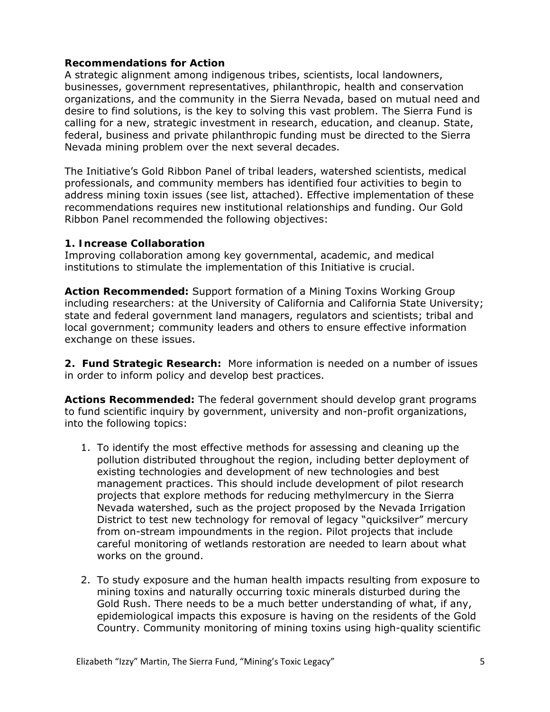#### **Recommendations for Action**

A strategic alignment among indigenous tribes, scientists, local landowners, businesses, government representatives, philanthropic, health and conservation organizations, and the community in the Sierra Nevada, based on mutual need and desire to find solutions, is the key to solving this vast problem. The Sierra Fund is calling for a new, strategic investment in research, education, and cleanup. State, federal, business and private philanthropic funding must be directed to the Sierra Nevada mining problem over the next several decades.

The Initiative's Gold Ribbon Panel of tribal leaders, watershed scientists, medical professionals, and community members has identified four activities to begin to address mining toxin issues (see list, attached). Effective implementation of these recommendations requires new institutional relationships and funding. Our Gold Ribbon Panel recommended the following objectives:

### **1. Increase Collaboration**

Improving collaboration among key governmental, academic, and medical institutions to stimulate the implementation of this Initiative is crucial.

*Action Recommended:* Support formation of a Mining Toxins Working Group including researchers: at the University of California and California State University; state and federal government land managers, regulators and scientists; tribal and local government; community leaders and others to ensure effective information exchange on these issues.

**2. Fund Strategic Research:** More information is needed on a number of issues in order to inform policy and develop best practices.

*Actions Recommended:* The federal government should develop grant programs to fund scientific inquiry by government, university and non-profit organizations, into the following topics:

- 1. To identify the most effective methods for assessing and cleaning up the pollution distributed throughout the region, including better deployment of existing technologies and development of new technologies and best management practices. This should include development of pilot research projects that explore methods for reducing methylmercury in the Sierra Nevada watershed, such as the project proposed by the Nevada Irrigation District to test new technology for removal of legacy "quicksilver" mercury from on-stream impoundments in the region. Pilot projects that include careful monitoring of wetlands restoration are needed to learn about what works on the ground.
- 2. To study exposure and the human health impacts resulting from exposure to mining toxins and naturally occurring toxic minerals disturbed during the Gold Rush. There needs to be a much better understanding of what, if any, epidemiological impacts this exposure is having on the residents of the Gold Country. Community monitoring of mining toxins using high-quality scientific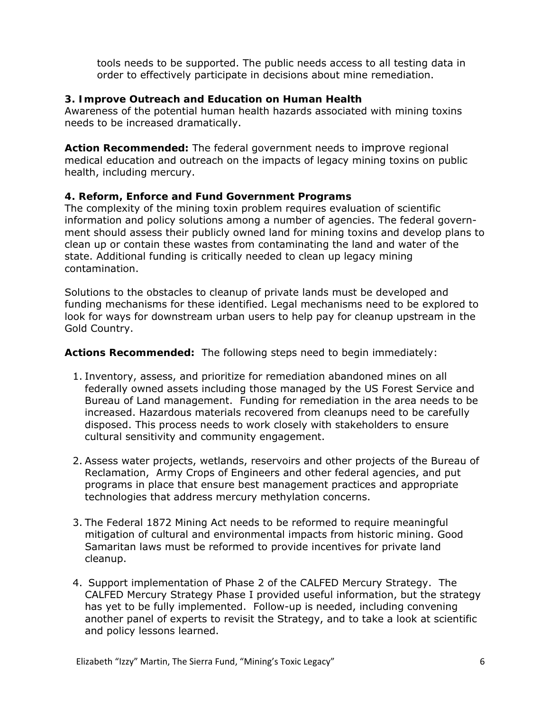tools needs to be supported. The public needs access to all testing data in order to effectively participate in decisions about mine remediation.

## **3. Improve Outreach and Education on Human Health**

Awareness of the potential human health hazards associated with mining toxins needs to be increased dramatically.

*Action Recommended:* The federal government needs to improve regional medical education and outreach on the impacts of legacy mining toxins on public health, including mercury.

# **4. Reform, Enforce and Fund Government Programs**

The complexity of the mining toxin problem requires evaluation of scientific information and policy solutions among a number of agencies. The federal government should assess their publicly owned land for mining toxins and develop plans to clean up or contain these wastes from contaminating the land and water of the state. Additional funding is critically needed to clean up legacy mining contamination.

Solutions to the obstacles to cleanup of private lands must be developed and funding mechanisms for these identified. Legal mechanisms need to be explored to look for ways for downstream urban users to help pay for cleanup upstream in the Gold Country.

### *Actions Recommended:* The following steps need to begin immediately:

- 1. Inventory, assess, and prioritize for remediation abandoned mines on all federally owned assets including those managed by the US Forest Service and Bureau of Land management. Funding for remediation in the area needs to be increased. Hazardous materials recovered from cleanups need to be carefully disposed. This process needs to work closely with stakeholders to ensure cultural sensitivity and community engagement.
- 2. Assess water projects, wetlands, reservoirs and other projects of the Bureau of Reclamation, Army Crops of Engineers and other federal agencies, and put programs in place that ensure best management practices and appropriate technologies that address mercury methylation concerns.
- 3. The Federal 1872 Mining Act needs to be reformed to require meaningful mitigation of cultural and environmental impacts from historic mining. Good Samaritan laws must be reformed to provide incentives for private land cleanup.
- 4. Support implementation of Phase 2 of the CALFED Mercury Strategy. The CALFED Mercury Strategy Phase I provided useful information, but the strategy has yet to be fully implemented. Follow-up is needed, including convening another panel of experts to revisit the Strategy, and to take a look at scientific and policy lessons learned.